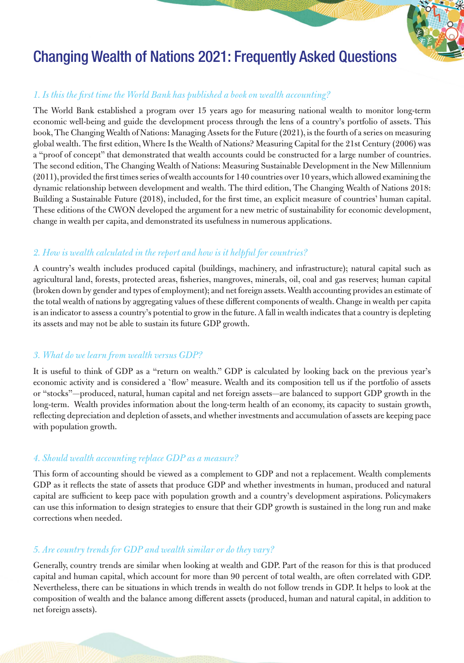

# Changing Wealth of Nations 2021: Frequently Asked Questions

## *1. Is this the first time the World Bank has published a book on wealth accounting?*

The World Bank established a program over 15 years ago for measuring national wealth to monitor long-term economic well-being and guide the development process through the lens of a country's portfolio of assets. This book, The Changing Wealth of Nations: Managing Assets for the Future (2021), is the fourth of a series on measuring global wealth. The first edition, Where Is the Wealth of Nations? Measuring Capital for the 21st Century (2006) was a "proof of concept" that demonstrated that wealth accounts could be constructed for a large number of countries. The second edition, The Changing Wealth of Nations: Measuring Sustainable Development in the New Millennium (2011), provided the first times series of wealth accounts for 140 countries over 10 years, which allowed examining the dynamic relationship between development and wealth. The third edition, The Changing Wealth of Nations 2018: Building a Sustainable Future (2018), included, for the first time, an explicit measure of countries' human capital. These editions of the CWON developed the argument for a new metric of sustainability for economic development, change in wealth per capita, and demonstrated its usefulness in numerous applications.

## *2. How is wealth calculated in the report and how is it helpful for countries?*

A country's wealth includes produced capital (buildings, machinery, and infrastructure); natural capital such as agricultural land, forests, protected areas, fisheries, mangroves, minerals, oil, coal and gas reserves; human capital (broken down by gender and types of employment); and net foreign assets. Wealth accounting provides an estimate of the total wealth of nations by aggregating values of these different components of wealth. Change in wealth per capita is an indicator to assess a country's potential to grow in the future. A fall in wealth indicates that a country is depleting its assets and may not be able to sustain its future GDP growth.

## *3. What do we learn from wealth versus GDP?*

It is useful to think of GDP as a "return on wealth." GDP is calculated by looking back on the previous year's economic activity and is considered a `flow' measure. Wealth and its composition tell us if the portfolio of assets or "stocks"—produced, natural, human capital and net foreign assets—are balanced to support GDP growth in the long-term. Wealth provides information about the long-term health of an economy, its capacity to sustain growth, reflecting depreciation and depletion of assets, and whether investments and accumulation of assets are keeping pace with population growth.

## *4. Should wealth accounting replace GDP as a measure?*

This form of accounting should be viewed as a complement to GDP and not a replacement. Wealth complements GDP as it reflects the state of assets that produce GDP and whether investments in human, produced and natural capital are sufficient to keep pace with population growth and a country's development aspirations. Policymakers can use this information to design strategies to ensure that their GDP growth is sustained in the long run and make corrections when needed.

## *5. Are country trends for GDP and wealth similar or do they vary?*

Generally, country trends are similar when looking at wealth and GDP. Part of the reason for this is that produced capital and human capital, which account for more than 90 percent of total wealth, are often correlated with GDP. Nevertheless, there can be situations in which trends in wealth do not follow trends in GDP. It helps to look at the composition of wealth and the balance among different assets (produced, human and natural capital, in addition to net foreign assets).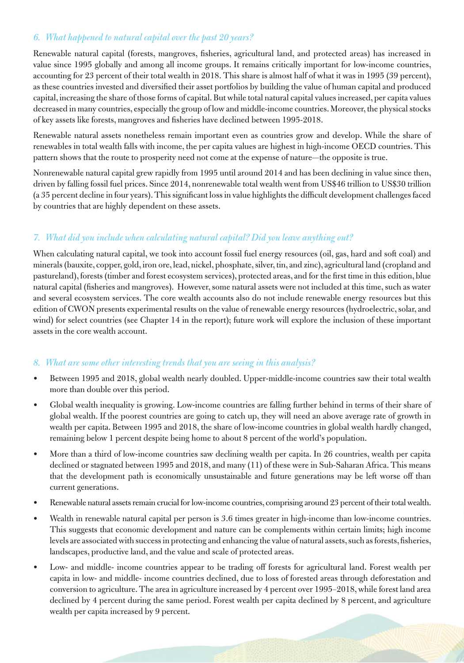## *6. What happened to natural capital over the past 20 years?*

Renewable natural capital (forests, mangroves, fisheries, agricultural land, and protected areas) has increased in value since 1995 globally and among all income groups. It remains critically important for low-income countries, accounting for 23 percent of their total wealth in 2018. This share is almost half of what it was in 1995 (39 percent), as these countries invested and diversified their asset portfolios by building the value of human capital and produced capital, increasing the share of those forms of capital. But while total natural capital values increased, per capita values decreased in many countries, especially the group of low and middle-income countries. Moreover, the physical stocks of key assets like forests, mangroves and fisheries have declined between 1995-2018.

Renewable natural assets nonetheless remain important even as countries grow and develop. While the share of renewables in total wealth falls with income, the per capita values are highest in high-income OECD countries. This pattern shows that the route to prosperity need not come at the expense of nature—the opposite is true.

Nonrenewable natural capital grew rapidly from 1995 until around 2014 and has been declining in value since then, driven by falling fossil fuel prices. Since 2014, nonrenewable total wealth went from US\$46 trillion to US\$30 trillion (a 35 percent decline in four years). This significant loss in value highlights the difficult development challenges faced by countries that are highly dependent on these assets.

# *7. What did you include when calculating natural capital? Did you leave anything out?*

When calculating natural capital, we took into account fossil fuel energy resources (oil, gas, hard and soft coal) and minerals (bauxite, copper, gold, iron ore, lead, nickel, phosphate, silver, tin, and zinc), agricultural land (cropland and pastureland), forests (timber and forest ecosystem services), protected areas, and for the first time in this edition, blue natural capital (fisheries and mangroves). However, some natural assets were not included at this time, such as water and several ecosystem services. The core wealth accounts also do not include renewable energy resources but this edition of CWON presents experimental results on the value of renewable energy resources (hydroelectric, solar, and wind) for select countries (see Chapter 14 in the report); future work will explore the inclusion of these important assets in the core wealth account.

## *8. What are some other interesting trends that you are seeing in this analysis?*

- Between 1995 and 2018, global wealth nearly doubled. Upper-middle-income countries saw their total wealth more than double over this period.
- Global wealth inequality is growing. Low-income countries are falling further behind in terms of their share of global wealth. If the poorest countries are going to catch up, they will need an above average rate of growth in wealth per capita. Between 1995 and 2018, the share of low-income countries in global wealth hardly changed, remaining below 1 percent despite being home to about 8 percent of the world's population.
- More than a third of low-income countries saw declining wealth per capita. In 26 countries, wealth per capita declined or stagnated between 1995 and 2018, and many (11) of these were in Sub-Saharan Africa. This means that the development path is economically unsustainable and future generations may be left worse off than current generations.
- Renewable natural assets remain crucial for low-income countries, comprising around 23 percent of their total wealth.
- Wealth in renewable natural capital per person is 3.6 times greater in high-income than low-income countries. This suggests that economic development and nature can be complements within certain limits; high income levels are associated with success in protecting and enhancing the value of natural assets, such as forests, fisheries, landscapes, productive land, and the value and scale of protected areas.
- Low- and middle- income countries appear to be trading off forests for agricultural land. Forest wealth per capita in low- and middle- income countries declined, due to loss of forested areas through deforestation and conversion to agriculture. The area in agriculture increased by 4 percent over 1995–2018, while forest land area declined by 4 percent during the same period. Forest wealth per capita declined by 8 percent, and agriculture wealth per capita increased by 9 percent.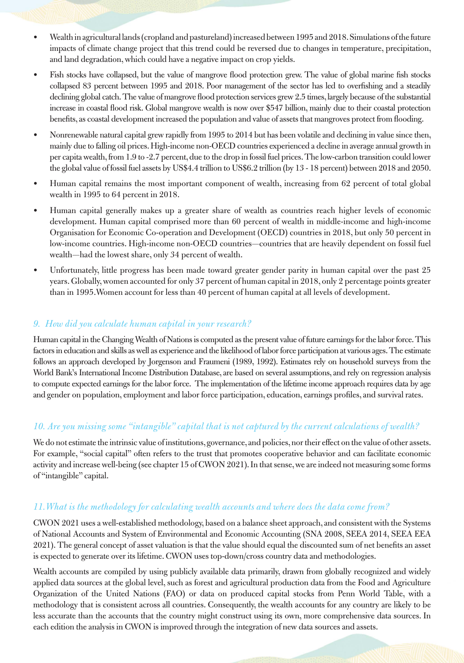- Wealth in agricultural lands (cropland and pastureland) increased between 1995 and 2018. Simulations of the future impacts of climate change project that this trend could be reversed due to changes in temperature, precipitation, and land degradation, which could have a negative impact on crop yields.
- Fish stocks have collapsed, but the value of mangrove flood protection grew. The value of global marine fish stocks collapsed 83 percent between 1995 and 2018. Poor management of the sector has led to overfishing and a steadily declining global catch. The value of mangrove flood protection services grew 2.5 times, largely because of the substantial increase in coastal flood risk. Global mangrove wealth is now over \$547 billion, mainly due to their coastal protection benefits, as coastal development increased the population and value of assets that mangroves protect from flooding.
- Nonrenewable natural capital grew rapidly from 1995 to 2014 but has been volatile and declining in value since then, mainly due to falling oil prices. High-income non-OECD countries experienced a decline in average annual growth in per capita wealth, from 1.9 to -2.7 percent, due to the drop in fossil fuel prices. The low-carbon transition could lower the global value of fossil fuel assets by US\$4.4 trillion to US\$6.2 trillion (by 13 - 18 percent) between 2018 and 2050.
- Human capital remains the most important component of wealth, increasing from 62 percent of total global wealth in 1995 to 64 percent in 2018.
- Human capital generally makes up a greater share of wealth as countries reach higher levels of economic development. Human capital comprised more than 60 percent of wealth in middle-income and high-income Organisation for Economic Co-operation and Development (OECD) countries in 2018, but only 50 percent in low-income countries. High-income non-OECD countries—countries that are heavily dependent on fossil fuel wealth—had the lowest share, only 34 percent of wealth.
- Unfortunately, little progress has been made toward greater gender parity in human capital over the past 25 years. Globally, women accounted for only 37 percent of human capital in 2018, only 2 percentage points greater than in 1995.Women account for less than 40 percent of human capital at all levels of development.

#### *9. How did you calculate human capital in your research?*

Human capital in the Changing Wealth of Nations is computed as the present value of future earnings for the labor force. This factors in education and skills as well as experience and the likelihood of labor force participation at various ages. The estimate follows an approach developed by Jorgenson and Fraumeni (1989, 1992). Estimates rely on household surveys from the World Bank's International Income Distribution Database, are based on several assumptions, and rely on regression analysis to compute expected earnings for the labor force. The implementation of the lifetime income approach requires data by age and gender on population, employment and labor force participation, education, earnings profiles, and survival rates.

#### *10. Are you missing some "intangible" capital that is not captured by the current calculations of wealth?*

We do not estimate the intrinsic value of institutions, governance, and policies, nor their effect on the value of other assets. For example, "social capital" often refers to the trust that promotes cooperative behavior and can facilitate economic activity and increase well-being (see chapter 15 of CWON 2021). In that sense, we are indeed not measuring some forms of "intangible" capital.

#### *11.What is the methodology for calculating wealth accounts and where does the data come from?*

CWON 2021 uses a well-established methodology, based on a balance sheet approach, and consistent with the Systems of National Accounts and System of Environmental and Economic Accounting (SNA 2008, SEEA 2014, SEEA EEA 2021). The general concept of asset valuation is that the value should equal the discounted sum of net benefits an asset is expected to generate over its lifetime. CWON uses top-down/cross country data and methodologies.

Wealth accounts are compiled by using publicly available data primarily, drawn from globally recognized and widely applied data sources at the global level, such as forest and agricultural production data from the Food and Agriculture Organization of the United Nations (FAO) or data on produced capital stocks from Penn World Table, with a methodology that is consistent across all countries. Consequently, the wealth accounts for any country are likely to be less accurate than the accounts that the country might construct using its own, more comprehensive data sources. In each edition the analysis in CWON is improved through the integration of new data sources and assets.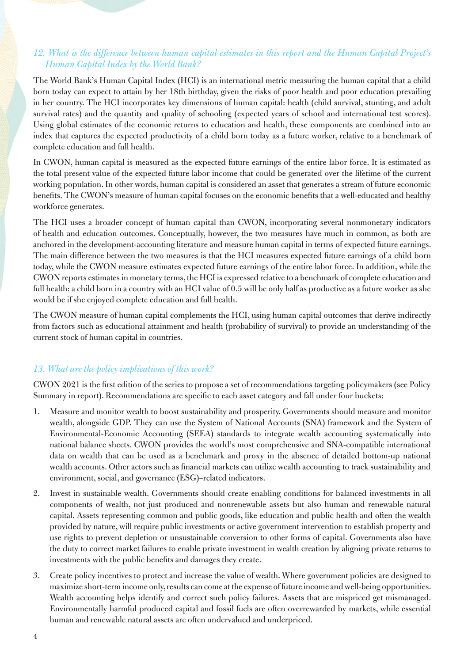#### *12. What is the difference between human capital estimates in this report and the Human Capital Project's Human Capital Index by the World Bank?*

The World Bank's Human Capital Index (HCI) is an international metric measuring the human capital that a child born today can expect to attain by her 18th birthday, given the risks of poor health and poor education prevailing in her country. The HCI incorporates key dimensions of human capital: health (child survival, stunting, and adult survival rates) and the quantity and quality of schooling (expected years of school and international test scores). Using global estimates of the economic returns to education and health, these components are combined into an index that captures the expected productivity of a child born today as a future worker, relative to a benchmark of complete education and full health.

In CWON, human capital is measured as the expected future earnings of the entire labor force. It is estimated as the total present value of the expected future labor income that could be generated over the lifetime of the current working population. In other words, human capital is considered an asset that generates a stream of future economic benefits. The CWON's measure of human capital focuses on the economic benefits that a well-educated and healthy workforce generates.

The HCI uses a broader concept of human capital than CWON, incorporating several nonmonetary indicators of health and education outcomes. Conceptually, however, the two measures have much in common, as both are anchored in the development-accounting literature and measure human capital in terms of expected future earnings. The main difference between the two measures is that the HCI measures expected future earnings of a child born today, while the CWON measure estimates expected future earnings of the entire labor force. In addition, while the CWON reports estimates in monetary terms, the HCI is expressed relative to a benchmark of complete education and full health: a child born in a country with an HCI value of 0.5 will be only half as productive as a future worker as she would be if she enjoyed complete education and full health.

The CWON measure of human capital complements the HCI, using human capital outcomes that derive indirectly from factors such as educational attainment and health (probability of survival) to provide an understanding of the current stock of human capital in countries.

## *13. What are the policy implications of this work?*

CWON 2021 is the first edition of the series to propose a set of recommendations targeting policymakers (see Policy Summary in report). Recommendations are specific to each asset category and fall under four buckets:

- 1. Measure and monitor wealth to boost sustainability and prosperity. Governments should measure and monitor wealth, alongside GDP. They can use the System of National Accounts (SNA) framework and the System of Environmental-Economic Accounting (SEEA) standards to integrate wealth accounting systematically into national balance sheets. CWON provides the world's most comprehensive and SNA-compatible international data on wealth that can be used as a benchmark and proxy in the absence of detailed bottom-up national wealth accounts. Other actors such as financial markets can utilize wealth accounting to track sustainability and environment, social, and governance (ESG)–related indicators.
- 2. Invest in sustainable wealth. Governments should create enabling conditions for balanced investments in all components of wealth, not just produced and nonrenewable assets but also human and renewable natural capital. Assets representing common and public goods, like education and public health and often the wealth provided by nature, will require public investments or active government intervention to establish property and use rights to prevent depletion or unsustainable conversion to other forms of capital. Governments also have the duty to correct market failures to enable private investment in wealth creation by aligning private returns to investments with the public benefits and damages they create.
- 3. Create policy incentives to protect and increase the value of wealth. Where government policies are designed to maximize short-term income only, results can come at the expense of future income and well-being opportunities. Wealth accounting helps identify and correct such policy failures. Assets that are mispriced get mismanaged. Environmentally harmful produced capital and fossil fuels are often overrewarded by markets, while essential human and renewable natural assets are often undervalued and underpriced.